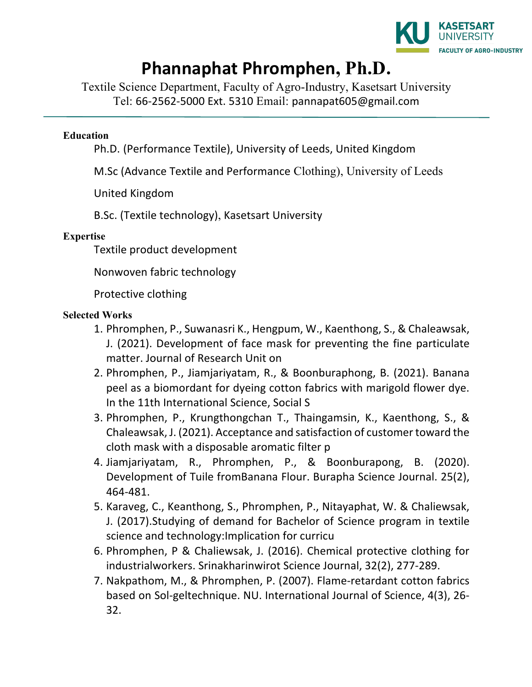

## **Phannaphat Phromphen, Ph.D.**

Textile Science Department, Faculty of Agro-Industry, Kasetsart University Tel: 66-2562-5000 Ext. 5310 Email: pannapat605@gmail.com

## **Education**

Ph.D. (Performance Textile), University of Leeds, United Kingdom

M.Sc (Advance Textile and Performance Clothing), University of Leeds

United Kingdom 

B.Sc. (Textile technology), Kasetsart University

## **Expertise**

Textile product development

Nonwoven fabric technology

Protective clothing

## **Selected Works**

- 1. Phromphen, P., Suwanasri K., Hengpum, W., Kaenthong, S., & Chaleawsak, J. (2021). Development of face mask for preventing the fine particulate matter. Journal of Research Unit on
- 2. Phromphen, P., Jiamjariyatam, R., & Boonburaphong, B. (2021). Banana peel as a biomordant for dyeing cotton fabrics with marigold flower dye. In the 11th International Science, Social S
- 3. Phromphen, P., Krungthongchan T., Thaingamsin, K., Kaenthong, S., & Chaleawsak, J. (2021). Acceptance and satisfaction of customer toward the cloth mask with a disposable aromatic filter p
- 4. Jiamjariyatam, R., Phromphen, P., & Boonburapong, B. (2020). Development of Tuile fromBanana Flour. Burapha Science Journal. 25(2), 464-481.
- 5. Karaveg, C., Keanthong, S., Phromphen, P., Nitayaphat, W. & Chaliewsak, J. (2017). Studying of demand for Bachelor of Science program in textile science and technology: Implication for curricu
- 6. Phromphen, P & Chaliewsak, J. (2016). Chemical protective clothing for industrialworkers. Srinakharinwirot Science Journal, 32(2), 277-289.
- 7. Nakpathom, M., & Phromphen, P. (2007). Flame-retardant cotton fabrics based on Sol-geltechnique. NU. International Journal of Science, 4(3), 26-32.